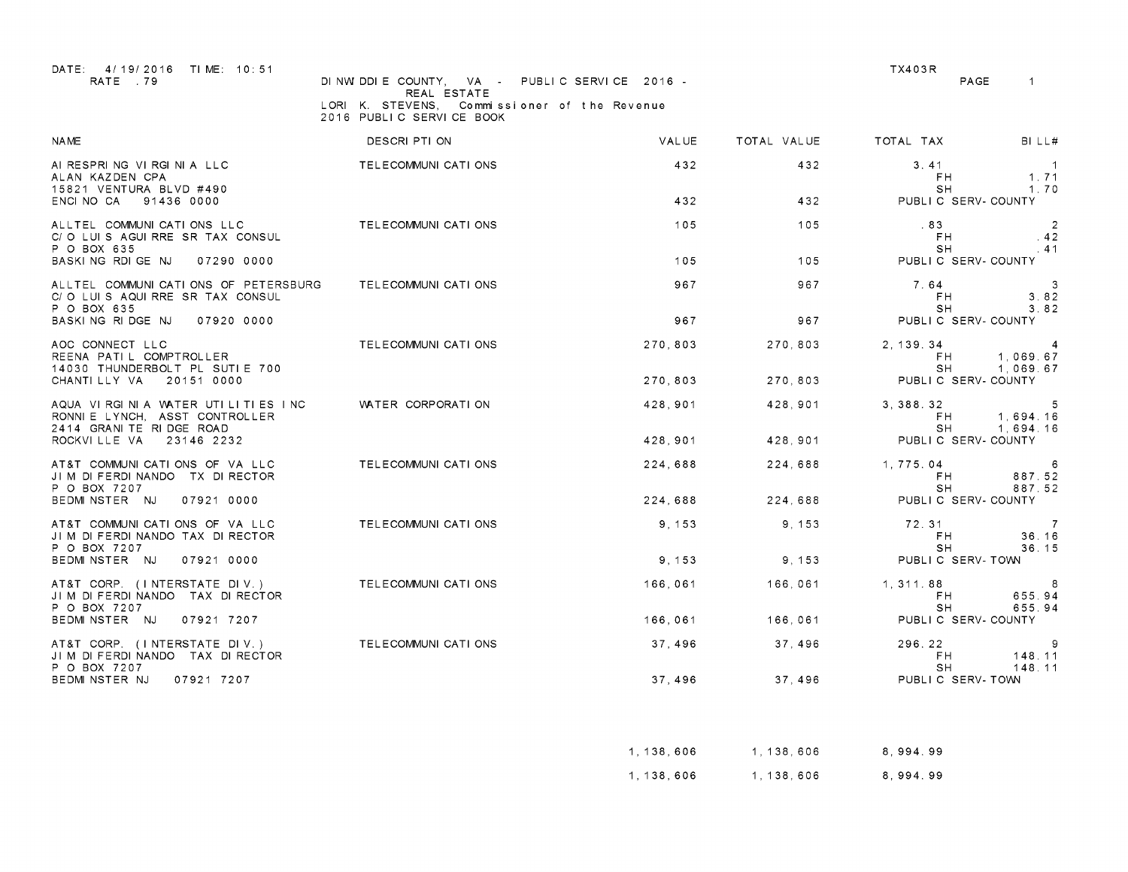| DATE: 4/19/2016 TIME: 10:51<br>RATE 79                                                          | DINWIDDIE COUNTY, VA - PUBLIC SERVICE 2016 -<br>REAL ESTATE<br>LORI K. STEVENS, Commissioner of the Revenue<br>2016 PUBLIC SERVICE BOOK |         |             | <b>TX403R</b>                       | PAGE<br>$\mathbf{1}$             |
|-------------------------------------------------------------------------------------------------|-----------------------------------------------------------------------------------------------------------------------------------------|---------|-------------|-------------------------------------|----------------------------------|
| <b>NAME</b>                                                                                     | DESCRI PTI ON                                                                                                                           | VALUE   | TOTAL VALUE | TOTAL TAX                           | BI LL#                           |
| AI RESPRING VIRGINIA LLC<br>ALAN KAZDEN CPA<br>15821 VENTURA BLVD #490                          | TELECOMMUNI CATI ONS                                                                                                                    | 432     | 432         | 3.41<br>FH<br>SH.                   | $\overline{1}$<br>1.71<br>1.70   |
| ENCI NO CA<br>91436 0000                                                                        |                                                                                                                                         | 432     | 432         |                                     | PUBLIC SERV-COUNTY               |
| ALLTEL COMMUNICATIONS LLC<br>C/O LUIS AGUIRRE SR TAX CONSUL<br>P O BOX 635                      | TELECOMMUNICATIONS                                                                                                                      | 105     | 105         | . 83<br>F <sub>H</sub><br><b>SH</b> | $\overline{2}$<br>.42<br>. 41    |
| BASKING RDIGE NJ<br>07290 0000                                                                  |                                                                                                                                         | 105     | 105         |                                     | PUBLIC SERV-COUNTY               |
| ALLTEL COMMUNICATIONS OF PETERSBURG<br>C/O LUIS AQUIRRE SR TAX CONSUL<br>P O BOX 635            | TELECOMMUNICATIONS                                                                                                                      | 967     | 967         | 7.64<br>F <sub>H</sub><br>SH.       | $_{3}$<br>3.82<br>3.82           |
| BASKING RIDGE NJ<br>07920 0000                                                                  |                                                                                                                                         | 967     | 967         |                                     | PUBLIC SERV-COUNTY               |
| AOC CONNECT LLC<br>REENA PATIL COMPTROLLER<br>14030 THUNDERBOLT PL SUTIE 700                    | TELECOMMUNI CATI ONS                                                                                                                    | 270.803 | 270.803     | 2.139.34<br>F <sub>H</sub><br>SH.   | 4<br>1,069.67                    |
| CHANTI LLY VA<br>20151 0000                                                                     |                                                                                                                                         | 270.803 | 270.803     |                                     | 1,069.67<br>PUBLIC SERV-COUNTY   |
| AQUA VIRGINIA WATER UTILITIES INC<br>RONNIE LYNCH, ASST CONTROLLER<br>2414 GRANI TE RI DGE ROAD | WATER CORPORATION                                                                                                                       | 428,901 | 428,901     | 3, 388. 32<br>FH.<br>SH.            | 5<br>1,694.16<br>1,694.16        |
| ROCKVI LLE VA<br>23146 2232                                                                     |                                                                                                                                         | 428.901 | 428,901     |                                     | PUBLIC SERV-COUNTY               |
| AT&T COMMUNICATIONS OF VA LLC<br>JIM DIFERDINANDO TX DIRECTOR<br>P O BOX 7207                   | TELECOMMUNI CATI ONS                                                                                                                    | 224,688 | 224,688     | 1.775.04<br>F H<br>SH.              | 6<br>887.52<br>887.52            |
| BEDMINSTER NJ<br>07921 0000                                                                     |                                                                                                                                         | 224,688 | 224,688     |                                     | PUBLIC SERV-COUNTY               |
| AT&T COMMUNICATIONS OF VA LLC<br>JIM DI FERDI NANDO TAX DI RECTOR<br>P O BOX 7207               | TELECOMMUNI CATI ONS                                                                                                                    | 9, 153  | 9, 153      | 72.31<br>FH.<br>SH.                 | $\overline{7}$<br>36.16<br>36.15 |
| BEDMINSTER NJ<br>07921 0000                                                                     |                                                                                                                                         | 9, 153  | 9, 153      | PUBLIC SERV-TOWN                    |                                  |
| AT&T CORP. (INTERSTATE DIV.)<br>JIM DIFERDINANDO TAX DIRECTOR<br>P O BOX 7207                   | TELECOMMUNICATIONS                                                                                                                      | 166,061 | 166.061     | 1.311.88<br>F <sub>H</sub><br>SH.   | -8<br>655.94<br>655.94           |
| BEDMINSTER NJ<br>07921 7207                                                                     |                                                                                                                                         | 166,061 | 166,061     |                                     | PUBLIC SERV-COUNTY               |
| AT&T CORP. (INTERSTATE DIV.)<br>JIM DIFERDINANDO TAX DIRECTOR<br>P O BOX 7207                   | TELECOMMUNI CATI ONS                                                                                                                    | 37.496  | 37.496      | 296.22<br>F <sub>H</sub>            | 9<br>148.11                      |
| BEDMINSTER NJ<br>07921 7207                                                                     |                                                                                                                                         | 37,496  | 37.496      | SH<br>PUBLIC SERV-TOWN              | 148.11                           |

| 1,138,606   | 1, 138, 606 | 8,994.99 |
|-------------|-------------|----------|
| 1, 138, 606 | 1, 138, 606 | 8,994.99 |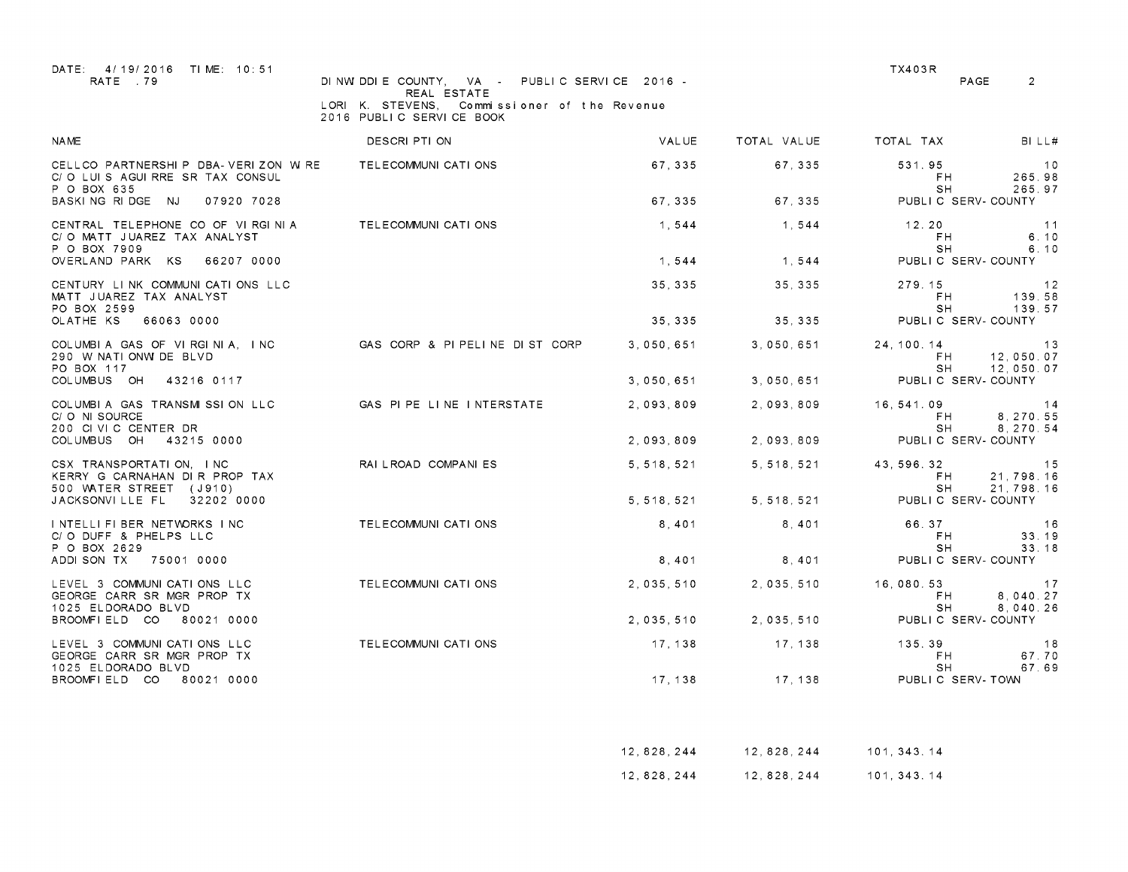| DATE: 4/19/2016 TIME: 10:51<br>RATE 79                                               | DINWIDDIE COUNTY, VA - PUBLIC SERVICE 2016 -<br>REAL ESTATE<br>LORI K. STEVENS, Commissioner of the Revenue<br>2016 PUBLIC SERVICE BOOK |             |             | TX403R                                | PAGE<br>$\overline{2}$         |
|--------------------------------------------------------------------------------------|-----------------------------------------------------------------------------------------------------------------------------------------|-------------|-------------|---------------------------------------|--------------------------------|
| <b>NAME</b>                                                                          | DESCRI PTI ON                                                                                                                           | VALUE       | TOTAL VALUE | TOTAL TAX                             | BI LL#                         |
| CELLCO PARTNERSHIP DBA-VERIZON W RE<br>C/O LUIS AGUIRRE SR TAX CONSUL<br>P O BOX 635 | TELECOMMUNI CATI ONS                                                                                                                    | 67, 335     | 67, 335     | 531.95<br>F <sub>H</sub><br><b>SH</b> | 10<br>265.98<br>265.97         |
| BASKING RIDGE NJ<br>07920 7028                                                       |                                                                                                                                         | 67.335      | 67.335      |                                       | PUBLIC SERV-COUNTY             |
| CENTRAL TELEPHONE CO OF VIRGINIA<br>C/O MATT JUAREZ TAX ANALYST<br>P O BOX 7909      | TELECOMMUNICATIONS                                                                                                                      | 1.544       | 1.544       | 12.20<br>FH.<br>SH.                   | 11<br>6.10<br>6.10             |
| OVERLAND PARK KS<br>66207 0000                                                       |                                                                                                                                         | 1.544       | 1.544       |                                       | PUBLIC SERV-COUNTY             |
| CENTURY LINK COMMUNICATIONS LLC<br>MATT JUAREZ TAX ANALYST<br>PO BOX 2599            |                                                                                                                                         | 35.335      | 35.335      | 279.15<br>FH.<br><b>SH</b>            | 12<br>139.58<br>139.57         |
| OLATHE KS 66063 0000                                                                 |                                                                                                                                         | 35, 335     | 35, 335     |                                       | PUBLIC SERV-COUNTY             |
| COLUMBIA GAS OF VIRGINIA, INC.<br>290 W NATIONW DE BLVD<br>PO BOX 117                | GAS CORP & PIPELINE DIST CORP                                                                                                           | 3,050,651   | 3,050,651   | 24.100.14<br>FH.<br>SH.               | 13<br>12,050.07<br>12,050.07   |
| COLUMBUS OH<br>43216 0117                                                            |                                                                                                                                         | 3.050.651   | 3.050.651   |                                       | PUBLIC SERV-COUNTY             |
| COLUMBIA GAS TRANSMISSION LLC<br>C/O NI SOURCE<br>200 CIVIC CENTER DR                | GAS PIPE LINE INTERSTATE                                                                                                                | 2.093.809   | 2.093.809   | 16.541.09<br>FH.<br>SH.               | 14<br>8, 270.55<br>8.270.54    |
| COLUMBUS OH<br>43215 0000                                                            |                                                                                                                                         | 2.093.809   | 2.093,809   |                                       | PUBLIC SERV-COUNTY             |
| CSX TRANSPORTATION, INC.<br>KERRY G CARNAHAN DIR PROP TAX<br>500 WATER STREET (J910) | RAILROAD COMPANIES                                                                                                                      | 5, 518, 521 | 5, 518, 521 | 43.596.32<br>FH.<br><b>SH</b>         | 15<br>21, 798. 16<br>21,798.16 |
| JACKSONVILLE FL<br>32202 0000                                                        |                                                                                                                                         | 5, 518, 521 | 5, 518, 521 |                                       | PUBLIC SERV-COUNTY             |
| INTELLIFIBER NETWORKS INC<br>C/O DUFF & PHELPS LLC<br>P O BOX 2629                   | TELECOMMUNI CATI ONS                                                                                                                    | 8,401       | 8,401       | 66.37<br>F <sub>H</sub><br><b>SH</b>  | 16<br>33.19<br>33.18           |
| ADDI SON TX<br>75001 0000                                                            |                                                                                                                                         | 8.401       | 8.401       |                                       | PUBLIC SERV-COUNTY             |
| LEVEL 3 COMMUNICATIONS LLC<br>GEORGE CARR SR MGR PROP TX<br>1025 ELDORADO BLVD       | TELECOMMUNI CATI ONS                                                                                                                    | 2.035.510   | 2.035.510   | 16,080,53<br>FH.<br>SH.               | 17<br>8,040.27<br>8,040,26     |
| BROOMFIELD CO<br>80021 0000                                                          |                                                                                                                                         | 2,035,510   | 2,035,510   |                                       | PUBLIC SERV-COUNTY             |
| LEVEL 3 COMMUNICATIONS LLC<br>GEORGE CARR SR MGR PROP TX<br>1025 ELDORADO BLVD       | TELECOMMUNI CATI ONS                                                                                                                    | 17,138      | 17,138      | 135.39<br>FH.<br><b>SH</b>            | 18<br>67.70<br>67.69           |
| BROOMFIELD CO<br>80021 0000                                                          |                                                                                                                                         | 17, 138     | 17, 138     |                                       | PUBLIC SERV-TOWN               |

| 12,828,244 | 12,828,244 | 101, 343, 14 |
|------------|------------|--------------|
| 12,828,244 | 12,828,244 | 101, 343, 14 |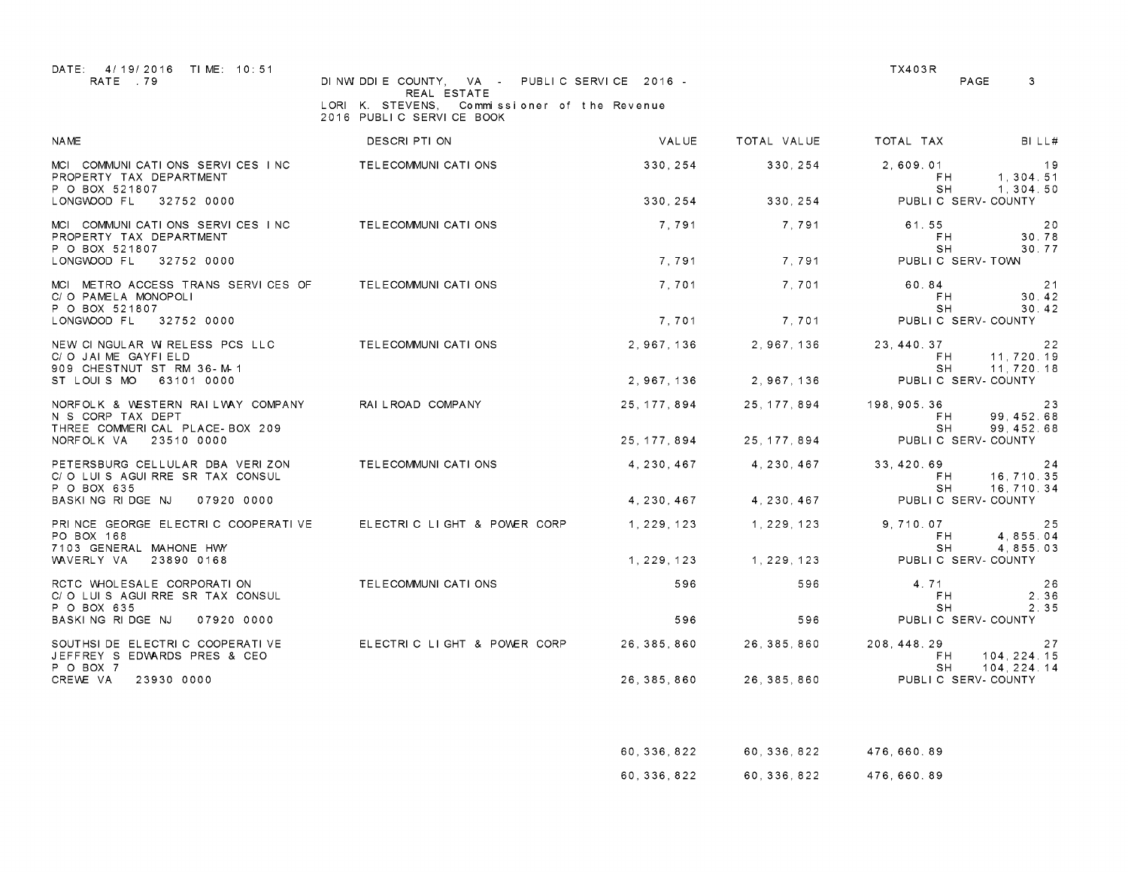| DATE: 4/19/2016 TIME: 10:51<br>RATE 79                                                   | DINWIDDIE COUNTY, VA - PUBLIC SERVICE 2016 -<br>REAL ESTATE                 |              |              | TX403R                               | PAGE<br>3                          |
|------------------------------------------------------------------------------------------|-----------------------------------------------------------------------------|--------------|--------------|--------------------------------------|------------------------------------|
|                                                                                          | LORI K. STEVENS.<br>Commissioner of the Revenue<br>2016 PUBLIC SERVICE BOOK |              |              |                                      |                                    |
| <b>NAME</b>                                                                              | <b>DESCRIPTION</b>                                                          | VALUE        | TOTAL VALUE  | TOTAL TAX                            | BILL#                              |
| MCI COMMUNICATIONS SERVICES INC<br>PROPERTY TAX DEPARTMENT<br>P O BOX 521807             | TELECOMMUNI CATI ONS                                                        | 330, 254     | 330, 254     | 2,609,01<br>F <sub>H</sub><br>SH.    | 19<br>1, 304.51<br>1, 304, 50      |
| LONGWOOD FL<br>32752 0000                                                                |                                                                             | 330, 254     | 330, 254     |                                      | PUBLIC SERV-COUNTY                 |
| MCI COMMUNICATIONS SERVICES INC<br>PROPERTY TAX DEPARTMENT<br>P O BOX 521807             | TELECOMMUNI CATI ONS                                                        | 7.791        | 7.791        | 61.55<br>F <sub>H</sub><br><b>SH</b> | 20<br>30.78<br>30.77               |
| LONGWOOD FL<br>32752 0000                                                                |                                                                             | 7.791        | 7,791        |                                      | PUBLIC SERV-TOWN                   |
| MCI METRO ACCESS TRANS SERVICES OF<br>C/O PAMELA MONOPOLI<br>P O BOX 521807              | TELECOMMUNI CATI ONS                                                        | 7,701        | 7,701        | 60.84<br>FH<br><b>SH</b>             | 21<br>30.42<br>30.42               |
| LONGWOOD FL<br>32752 0000                                                                |                                                                             | 7.701        | 7,701        |                                      | PUBLIC SERV-COUNTY                 |
| NEW CINGULAR W RELESS PCS LLC<br>C/O JAIME GAYFIELD<br>909 CHESTNUT ST RM 36-M-1         | TELECOMMUNI CATI ONS                                                        | 2.967.136    | 2.967.136    | 23.440.37<br>FH.<br>SH.              | 22<br>11,720.19<br>11,720.18       |
| ST LOUIS MO<br>63101 0000                                                                |                                                                             | 2,967,136    | 2, 967, 136  |                                      | PUBLIC SERV-COUNTY                 |
| NORFOLK & WESTERN RAILWAY COMPANY<br>N S CORP TAX DEPT<br>THREE COMMERICAL PLACE-BOX 209 | RAILROAD COMPANY                                                            | 25, 177, 894 | 25, 177, 894 | 198, 905, 36<br>FH<br><b>SH</b>      | 23<br>99, 452. 68<br>99.452.68     |
| NORFOLK VA<br>23510 0000                                                                 |                                                                             | 25.177.894   | 25, 177, 894 |                                      | PUBLIC SERV-COUNTY                 |
| PETERSBURG CELLULAR DBA VERIZON<br>C/O LUIS AGUIRRE SR TAX CONSUL<br>P O BOX 635         | TELECOMMUNI CATI ONS                                                        | 4.230.467    | 4.230.467    | 33.420.69<br>F <sub>H</sub>          | 24<br>16, 710. 35                  |
| BASKING RIDGE NJ<br>07920 0000                                                           |                                                                             | 4, 230, 467  | 4, 230, 467  | SH.                                  | 16, 710, 34<br>PUBLIC SERV-COUNTY  |
| PRINCE GEORGE ELECTRIC COOPERATIVE<br>PO BOX 168                                         | ELECTRIC LIGHT & POWER CORP                                                 | 1, 229, 123  | 1, 229, 123  | 9.710.07<br>FH                       | 25<br>4, 855.04                    |
| 7103 GENERAL MAHONE HWY<br>WAVERLY VA<br>23890 0168                                      |                                                                             | 1, 229, 123  | 1, 229, 123  | <b>SH</b>                            | 4.855.03<br>PUBLIC SERV-COUNTY     |
| RCTC WHOLESALE CORPORATION<br>C/O LUIS AGUIRRE SR TAX CONSUL<br>P O BOX 635              | TELECOMMUNI CATI ONS                                                        | 596          | 596          | 4.71<br>FH<br><b>SH</b>              | 26<br>2.36<br>2.35                 |
| BASKING RIDGE NJ<br>07920 0000                                                           |                                                                             | 596          | 596          |                                      | PUBLIC SERV-COUNTY                 |
| SOUTHSI DE ELECTRIC COOPERATIVE<br>JEFFREY S EDWARDS PRES & CEO<br>P O BOX 7             | ELECTRIC LIGHT & POWER CORP                                                 | 26.385.860   | 26.385.860   | 208.448.29<br>F <sub>H</sub><br>SH   | 27<br>104, 224, 15<br>104, 224, 14 |
| CREWE VA<br>23930 0000                                                                   |                                                                             | 26.385.860   | 26.385.860   |                                      | PUBLIC SERV-COUNTY                 |

| 60.336.822 | 60.336.822 | 476.660.89 |
|------------|------------|------------|
| 60.336.822 | 60.336.822 | 476,660.89 |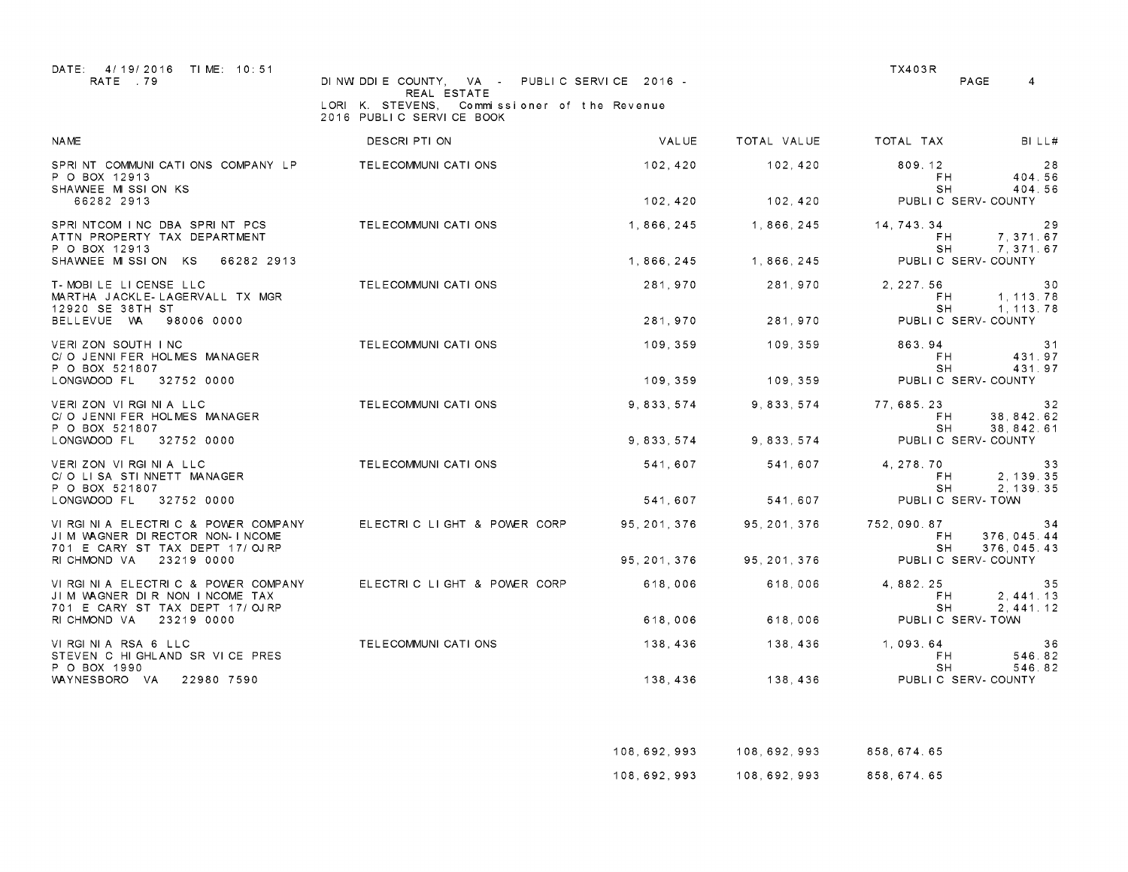| DATE: 4/19/2016 TIME: 10:51<br>RATE 79                                                                | DINWIDDIE COUNTY, VA<br>REAL ESTATE<br>LORI K. STEVENS,<br>Commissioner of the Revenue<br>2016 PUBLIC SERVICE BOOK | PUBLIC SERVICE 2016 - |              | TX403R                                | PAGE<br>$\overline{4}$           |
|-------------------------------------------------------------------------------------------------------|--------------------------------------------------------------------------------------------------------------------|-----------------------|--------------|---------------------------------------|----------------------------------|
| <b>NAME</b>                                                                                           | <b>DESCRIPTION</b>                                                                                                 | VALUE                 | TOTAL VALUE  | TOTAL TAX                             | BILL#                            |
| SPRINT COMMUNICATIONS COMPANY LP<br>P O BOX 12913<br>SHAWNEE MISSION KS                               | TELECOMMUNI CATI ONS                                                                                               | 102,420               | 102,420      | 809.12<br>F <sub>H</sub><br><b>SH</b> | 28<br>404.56<br>404.56           |
| 66282 2913                                                                                            |                                                                                                                    | 102,420               | 102,420      |                                       | PUBLIC SERV-COUNTY               |
| SPRINTCOM INC DBA SPRINT PCS<br>ATTN PROPERTY TAX DEPARTMENT<br>P O BOX 12913                         | TELECOMMUNICATIONS                                                                                                 | 1.866.245             | 1.866.245    | 14.743.34<br>FH.<br>SH                | 29<br>7, 371.67<br>7.371.67      |
| SHAWNEE MISSION KS<br>66282 2913                                                                      |                                                                                                                    | 1.866.245             | 1,866,245    |                                       | PUBLIC SERV-COUNTY               |
| T-MOBILE LICENSE LLC<br>MARTHA JACKLE-LAGERVALL TX MGR<br>12920 SE 38TH ST                            | TELECOMMUNI CATI ONS                                                                                               | 281.970               | 281.970      | 2.227.56<br>FH.<br>SH.                | 30<br>1, 113. 78<br>1, 113, 78   |
| BELLEVUE WA<br>98006 0000                                                                             |                                                                                                                    | 281.970               | 281,970      |                                       | PUBLIC SERV-COUNTY               |
| VERIZON SOUTH INC<br>C/O JENNIFER HOLMES MANAGER<br>P O BOX 521807                                    | TELECOMMUNICATIONS                                                                                                 | 109,359               | 109,359      | 863.94<br>FH.<br>SH.                  | 31<br>431.97<br>431.97           |
| LONGWOOD FL<br>32752 0000                                                                             |                                                                                                                    | 109,359               | 109,359      |                                       | PUBLIC SERV-COUNTY               |
| VERIZON VIRGINIA LLC<br>C/O JENNIFER HOLMES MANAGER<br>P O BOX 521807                                 | TELECOMMUNI CATI ONS                                                                                               | 9.833.574             | 9.833.574    | 77, 685, 23<br>FH.<br>SH.             | 32<br>38, 842. 62<br>38, 842. 61 |
| LONGWOOD FL<br>32752 0000                                                                             |                                                                                                                    | 9.833.574             | 9.833.574    |                                       | PUBLIC SERV-COUNTY               |
| VERIZON VIRGINIA LLC<br>C/O LISA STINNETT MANAGER<br>P O BOX 521807                                   | TELECOMMUNI CATI ONS                                                                                               | 541,607               | 541.607      | 4.278.70<br>FH.<br>SH                 | 33<br>2, 139.35<br>2.139.35      |
| LONGWOOD FL<br>32752 0000                                                                             |                                                                                                                    | 541,607               | 541,607      |                                       | PUBLIC SERV-TOWN                 |
| VIRGINIA ELECTRIC & POWER COMPANY<br>JIM WAGNER DIRECTOR NON-INCOME<br>701 E CARY ST TAX DEPT 17/OJRP | ELECTRIC LIGHT & POWER CORP                                                                                        | 95, 201, 376          | 95, 201, 376 | 752.090.87<br>FH.<br>SH.              | 34<br>376, 045.44<br>376.045.43  |
| 23219 0000<br>RI CHMOND VA                                                                            |                                                                                                                    | 95, 201, 376          | 95, 201, 376 |                                       | PUBLIC SERV-COUNTY               |
| VIRGINIA ELECTRIC & POWER COMPANY<br>JIM WAGNER DIR NON INCOME TAX<br>701 E CARY ST TAX DEPT 17/OJRP  | ELECTRIC LIGHT & POWER CORP                                                                                        | 618,006               | 618,006      | 4.882.25<br>FH                        | 35<br>2, 441.13                  |
| RI CHMOND VA<br>23219 0000                                                                            |                                                                                                                    | 618,006               | 618,006      | SH.                                   | 2.441.12<br>PUBLIC SERV-TOWN     |
| VIRGINIA RSA 6 LLC<br>STEVEN C HIGHLAND SR VICE PRES<br>P O BOX 1990                                  | TELECOMMUNI CATI ONS                                                                                               | 138,436               | 138,436      | 1.093.64<br>FH.<br><b>SH</b>          | 36<br>546.82<br>546.82           |
| WAYNESBORO VA<br>22980 7590                                                                           |                                                                                                                    | 138,436               | 138,436      |                                       | PUBLIC SERV-COUNTY               |

| 108.692.993 | 108.692.993 | 858,674.65 |
|-------------|-------------|------------|
| 108,692,993 | 108,692,993 | 858,674.65 |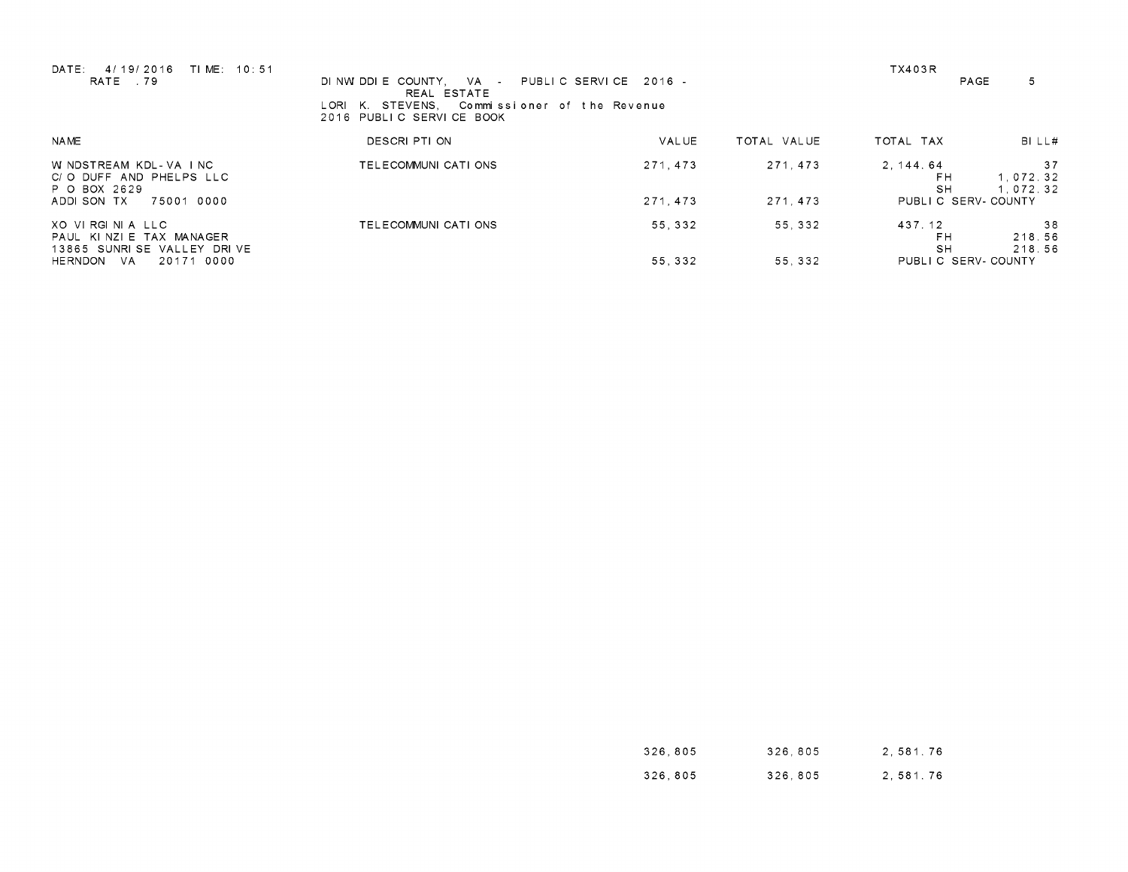| TIME: 10:51<br>4/19/2016<br>DATE:<br>RATE 79                            | DINWIDDIE COUNTY, VA - PUBLIC SERVICE 2016 -<br>REAL ESTATE<br>LORI K. STEVENS. Commissioner of the Revenue<br>2016 PUBLIC SERVICE BOOK |         |             | <b>TX403R</b><br>PAGE | 5                          |
|-------------------------------------------------------------------------|-----------------------------------------------------------------------------------------------------------------------------------------|---------|-------------|-----------------------|----------------------------|
| <b>NAME</b>                                                             | DESCRI PTI ON                                                                                                                           | VALUE   | TOTAL VALUE | TOTAL TAX             | BILL#                      |
| W NDSTREAM KDL-VA INC<br>C/O DUFF AND PHELPS LLC<br>P O BOX 2629        | TELECOMMUNI CATI ONS                                                                                                                    | 271.473 | 271.473     | 2.144.64<br>FH<br>SH  | 37<br>1,072.32<br>1,072.32 |
| ADDI SON TX<br>75001 0000                                               |                                                                                                                                         | 271.473 | 271.473     | PUBLIC SERV-COUNTY    |                            |
| XOVIRGINIA LLC<br>PAUL KINZIE TAX MANAGER<br>13865 SUNRISE VALLEY DRIVE | TELECOMMUNI CATI ONS                                                                                                                    | 55.332  | 55.332      | 437.12<br>FH<br>SH    | 38<br>218.56<br>218.56     |
| <b>HERNDON</b><br>0000<br>20171<br>VA.                                  |                                                                                                                                         | 55.332  | 55.332      | PUBLIC SERV-COUNTY    |                            |

| 326,805 | 326,805 | 2,581.76 |
|---------|---------|----------|
| 326,805 | 326,805 | 2,581.76 |